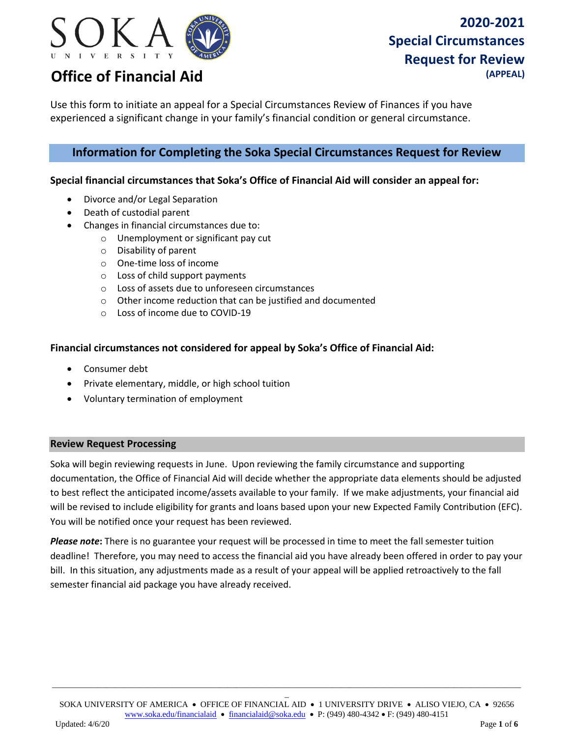

Use this form to initiate an appeal for a Special Circumstances Review of Finances if you have experienced a significant change in your family's financial condition or general circumstance.

### **Information for Completing the Soka Special Circumstances Request for Review**

#### **Special financial circumstances that Soka's Office of Financial Aid will consider an appeal for:**

- Divorce and/or Legal Separation
- Death of custodial parent
- Changes in financial circumstances due to:
	- o Unemployment or significant pay cut
		- o Disability of parent
		- o One-time loss of income
		- o Loss of child support payments
		- o Loss of assets due to unforeseen circumstances
		- o Other income reduction that can be justified and documented
		- o Loss of income due to COVID-19

#### **Financial circumstances not considered for appeal by Soka's Office of Financial Aid:**

- Consumer debt
- Private elementary, middle, or high school tuition
- Voluntary termination of employment

#### **Review Request Processing**

Soka will begin reviewing requests in June. Upon reviewing the family circumstance and supporting documentation, the Office of Financial Aid will decide whether the appropriate data elements should be adjusted to best reflect the anticipated income/assets available to your family. If we make adjustments, your financial aid will be revised to include eligibility for grants and loans based upon your new Expected Family Contribution (EFC). You will be notified once your request has been reviewed.

*Please note***:** There is no guarantee your request will be processed in time to meet the fall semester tuition deadline! Therefore, you may need to access the financial aid you have already been offered in order to pay your bill. In this situation, any adjustments made as a result of your appeal will be applied retroactively to the fall semester financial aid package you have already received.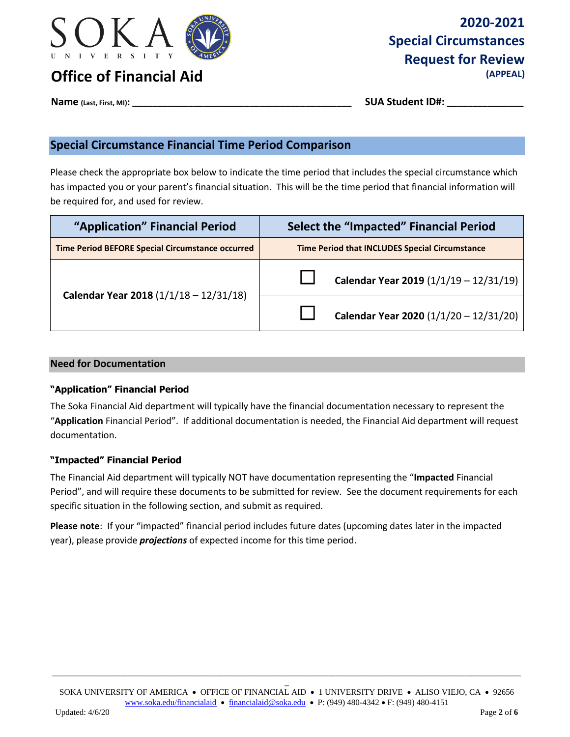

# **2020-2021 Special Circumstances Request for Review**

**Name (Last, First, MI): \_\_\_\_\_\_\_\_\_\_\_\_\_\_\_\_\_\_\_\_\_\_\_\_\_\_\_\_\_\_\_\_\_\_\_\_\_\_\_\_\_\_\_ SUA Student ID#: \_\_\_\_\_\_\_\_\_\_\_\_\_\_\_**

## **Special Circumstance Financial Time Period Comparison**

Please check the appropriate box below to indicate the time period that includes the special circumstance which has impacted you or your parent's financial situation. This will be the time period that financial information will be required for, and used for review.

| "Application" Financial Period                          | <b>Select the "Impacted" Financial Period</b>         |  |  |
|---------------------------------------------------------|-------------------------------------------------------|--|--|
| <b>Time Period BEFORE Special Circumstance occurred</b> | <b>Time Period that INCLUDES Special Circumstance</b> |  |  |
| Calendar Year 2018 (1/1/18 - 12/31/18)                  | Calendar Year 2019 $(1/1/19 - 12/31/19)$              |  |  |
|                                                         | Calendar Year 2020 $(1/1/20 - 12/31/20)$              |  |  |

### **Need for Documentation**

### **"Application" Financial Period**

The Soka Financial Aid department will typically have the financial documentation necessary to represent the "**Application** Financial Period". If additional documentation is needed, the Financial Aid department will request documentation.

### **"Impacted" Financial Period**

The Financial Aid department will typically NOT have documentation representing the "**Impacted** Financial Period", and will require these documents to be submitted for review. See the document requirements for each specific situation in the following section, and submit as required.

**Please note**: If your "impacted" financial period includes future dates (upcoming dates later in the impacted year), please provide *projections* of expected income for this time period.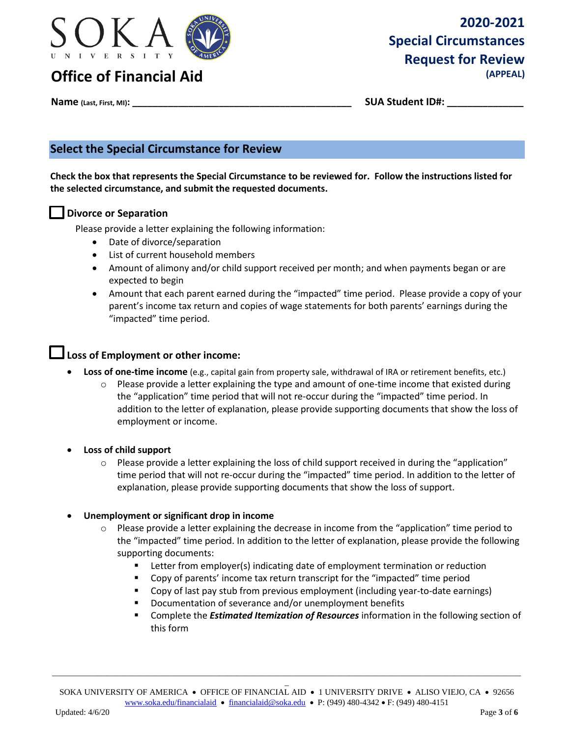

# **2020-2021 Special Circumstances Request for Review**

**Name (Last, First, MI): \_\_\_\_\_\_\_\_\_\_\_\_\_\_\_\_\_\_\_\_\_\_\_\_\_\_\_\_\_\_\_\_\_\_\_\_\_\_\_\_\_\_\_ SUA Student ID#: \_\_\_\_\_\_\_\_\_\_\_\_\_\_\_**

## **Select the Special Circumstance for Review**

**Check the box that represents the Special Circumstance to be reviewed for. Follow the instructions listed for the selected circumstance, and submit the requested documents.** 

### **Divorce or Separation**

Please provide a letter explaining the following information:

- Date of divorce/separation
- List of current household members
- Amount of alimony and/or child support received per month; and when payments began or are expected to begin
- Amount that each parent earned during the "impacted" time period. Please provide a copy of your parent's income tax return and copies of wage statements for both parents' earnings during the "impacted" time period.

### **Loss of Employment or other income:**

- **Loss of one-time income** (e.g., capital gain from property sale, withdrawal of IRA or retirement benefits, etc.)
	- $\circ$  Please provide a letter explaining the type and amount of one-time income that existed during the "application" time period that will not re-occur during the "impacted" time period. In addition to the letter of explanation, please provide supporting documents that show the loss of employment or income.
- **Loss of child support** 
	- $\circ$  Please provide a letter explaining the loss of child support received in during the "application" time period that will not re-occur during the "impacted" time period. In addition to the letter of explanation, please provide supporting documents that show the loss of support.

#### **Unemployment or significant drop in income**

- $\circ$  Please provide a letter explaining the decrease in income from the "application" time period to the "impacted" time period. In addition to the letter of explanation, please provide the following supporting documents:
	- **EXECTER 1** Letter from employer(s) indicating date of employment termination or reduction
	- **•** Copy of parents' income tax return transcript for the "impacted" time period
	- Copy of last pay stub from previous employment (including year-to-date earnings)
	- **•** Documentation of severance and/or unemployment benefits
	- Complete the *Estimated Itemization of Resources* information in the following section of this form

 $\overline{a}$ SOKA UNIVERSITY OF AMERICA • OFFICE OF FINANCIAL AID • 1 UNIVERSITY DRIVE • ALISO VIEJO, CA • 92656 [www.soka.edu/financialaid](http://www.soka.edu/financialaid)  [financialaid@soka.edu](mailto:financialaid@soka.edu)  P: (949) 480-4342 F: (949) 480-4151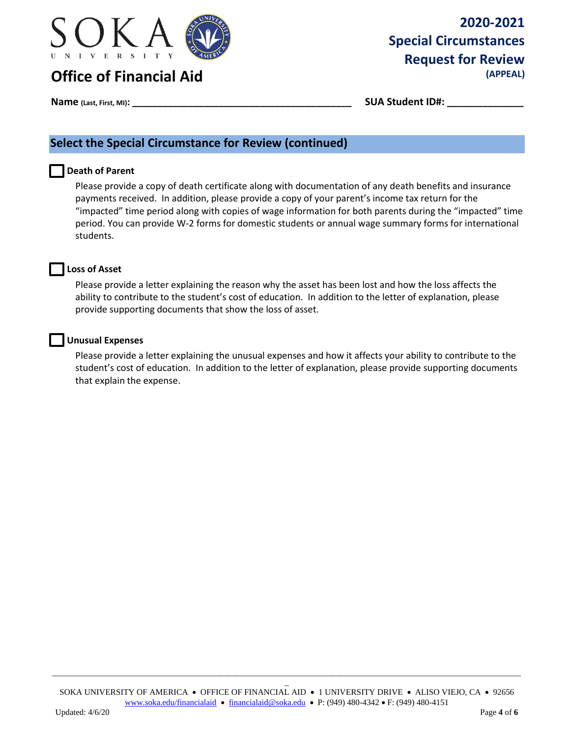

# **2020-2021 Special Circumstances Request for Review**

### **Name (Last, First, MI): \_\_\_\_\_\_\_\_\_\_\_\_\_\_\_\_\_\_\_\_\_\_\_\_\_\_\_\_\_\_\_\_\_\_\_\_\_\_\_\_\_\_\_ SUA Student ID#: \_\_\_\_\_\_\_\_\_\_\_\_\_\_\_**

## **Select the Special Circumstance for Review (continued)**

#### **Death of Parent**

Please provide a copy of death certificate along with documentation of any death benefits and insurance payments received. In addition, please provide a copy of your parent's income tax return for the "impacted" time period along with copies of wage information for both parents during the "impacted" time period. You can provide W-2 forms for domestic students or annual wage summary forms for international students.



Please provide a letter explaining the reason why the asset has been lost and how the loss affects the ability to contribute to the student's cost of education. In addition to the letter of explanation, please provide supporting documents that show the loss of asset.

#### **Unusual Expenses**

Please provide a letter explaining the unusual expenses and how it affects your ability to contribute to the student's cost of education. In addition to the letter of explanation, please provide supporting documents that explain the expense.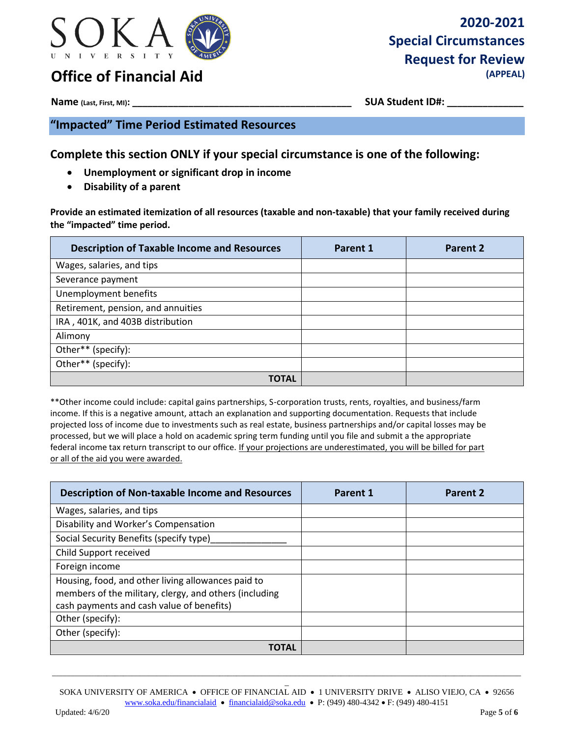

# **2020-2021 Special Circumstances Request for Review**

**Name (Last, First, MI): \_\_\_\_\_\_\_\_\_\_\_\_\_\_\_\_\_\_\_\_\_\_\_\_\_\_\_\_\_\_\_\_\_\_\_\_\_\_\_\_\_\_\_ SUA Student ID#: \_\_\_\_\_\_\_\_\_\_\_\_\_\_\_**

**"Impacted" Time Period Estimated Resources** 

**Complete this section ONLY if your special circumstance is one of the following:** 

- **Unemployment or significant drop in income**
- **Disability of a parent**

**Provide an estimated itemization of all resources (taxable and non-taxable) that your family received during the "impacted" time period.** 

| <b>Description of Taxable Income and Resources</b> | Parent 1 | Parent 2 |
|----------------------------------------------------|----------|----------|
| Wages, salaries, and tips                          |          |          |
| Severance payment                                  |          |          |
| Unemployment benefits                              |          |          |
| Retirement, pension, and annuities                 |          |          |
| IRA, 401K, and 403B distribution                   |          |          |
| Alimony                                            |          |          |
| Other** (specify):                                 |          |          |
| Other** (specify):                                 |          |          |
| TOTAL                                              |          |          |

\*\*Other income could include: capital gains partnerships, S-corporation trusts, rents, royalties, and business/farm income. If this is a negative amount, attach an explanation and supporting documentation. Requests that include projected loss of income due to investments such as real estate, business partnerships and/or capital losses may be processed, but we will place a hold on academic spring term funding until you file and submit a the appropriate federal income tax return transcript to our office. If your projections are underestimated, you will be billed for part or all of the aid you were awarded.

| <b>Description of Non-taxable Income and Resources</b>                                                                                                    | Parent 1 | Parent 2 |
|-----------------------------------------------------------------------------------------------------------------------------------------------------------|----------|----------|
| Wages, salaries, and tips                                                                                                                                 |          |          |
| Disability and Worker's Compensation                                                                                                                      |          |          |
| Social Security Benefits (specify type)                                                                                                                   |          |          |
| Child Support received                                                                                                                                    |          |          |
| Foreign income                                                                                                                                            |          |          |
| Housing, food, and other living allowances paid to<br>members of the military, clergy, and others (including<br>cash payments and cash value of benefits) |          |          |
| Other (specify):                                                                                                                                          |          |          |
| Other (specify):                                                                                                                                          |          |          |
| <b>TOTAL</b>                                                                                                                                              |          |          |